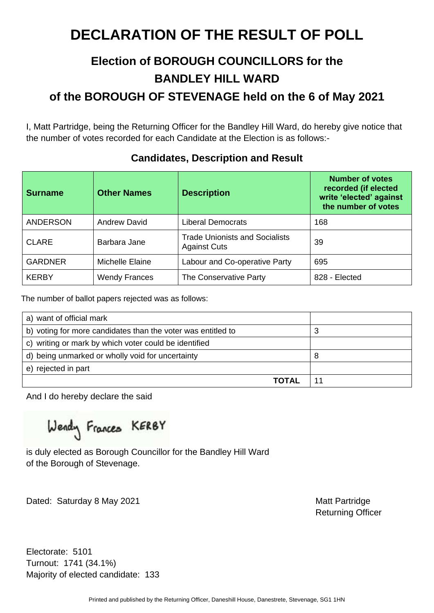### **Election of BOROUGH COUNCILLORS for the BANDLEY HILL WARD of the BOROUGH OF STEVENAGE held on the 6 of May 2021**

I, Matt Partridge, being the Returning Officer for the Bandley Hill Ward, do hereby give notice that the number of votes recorded for each Candidate at the Election is as follows:-

| <b>Surname</b>  | <b>Other Names</b>   | <b>Description</b>                                           | <b>Number of votes</b><br>recorded (if elected<br>write 'elected' against<br>the number of votes |
|-----------------|----------------------|--------------------------------------------------------------|--------------------------------------------------------------------------------------------------|
| <b>ANDERSON</b> | <b>Andrew David</b>  | <b>Liberal Democrats</b>                                     | 168                                                                                              |
| <b>CLARE</b>    | Barbara Jane         | <b>Trade Unionists and Socialists</b><br><b>Against Cuts</b> | 39                                                                                               |
| <b>GARDNER</b>  | Michelle Elaine      | Labour and Co-operative Party                                | 695                                                                                              |
| <b>KERBY</b>    | <b>Wendy Frances</b> | The Conservative Party                                       | 828 - Elected                                                                                    |

#### **Candidates, Description and Result**

The number of ballot papers rejected was as follows:

| a) want of official mark                                     |    |
|--------------------------------------------------------------|----|
| b) voting for more candidates than the voter was entitled to | 3  |
| c) writing or mark by which voter could be identified        |    |
| d) being unmarked or wholly void for uncertainty             | 8  |
| e) rejected in part                                          |    |
| TOTAL                                                        | 11 |

And I do hereby declare the said

Wendy Frances KERBY

is duly elected as Borough Councillor for the Bandley Hill Ward of the Borough of Stevenage.

Dated: Saturday 8 May 2021 Matt Partridge

Returning Officer

Electorate: 5101 Turnout: 1741 (34.1%) Majority of elected candidate: 133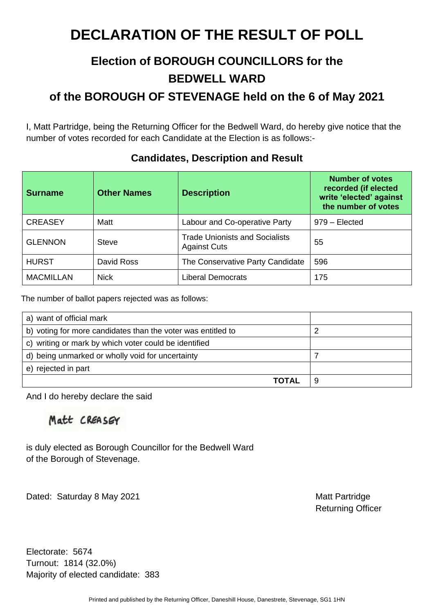### **Election of BOROUGH COUNCILLORS for the BEDWELL WARD**

**of the BOROUGH OF STEVENAGE held on the 6 of May 2021** 

I, Matt Partridge, being the Returning Officer for the Bedwell Ward, do hereby give notice that the number of votes recorded for each Candidate at the Election is as follows:-

| <b>Surname</b>   | <b>Other Names</b> | <b>Description</b>                                           | <b>Number of votes</b><br>recorded (if elected<br>write 'elected' against<br>the number of votes |
|------------------|--------------------|--------------------------------------------------------------|--------------------------------------------------------------------------------------------------|
| <b>CREASEY</b>   | Matt               | Labour and Co-operative Party                                | 979 – Elected                                                                                    |
| <b>GLENNON</b>   | <b>Steve</b>       | <b>Trade Unionists and Socialists</b><br><b>Against Cuts</b> | 55                                                                                               |
| <b>HURST</b>     | David Ross         | The Conservative Party Candidate                             | 596                                                                                              |
| <b>MACMILLAN</b> | <b>Nick</b>        | <b>Liberal Democrats</b>                                     | 175                                                                                              |

#### **Candidates, Description and Result**

The number of ballot papers rejected was as follows:

| a) want of official mark                                     |  |
|--------------------------------------------------------------|--|
| b) voting for more candidates than the voter was entitled to |  |
| c) writing or mark by which voter could be identified        |  |
| d) being unmarked or wholly void for uncertainty             |  |
| e) rejected in part                                          |  |
| ΤΩΤΔΙ                                                        |  |

And I do hereby declare the said

Matt CREASEY

is duly elected as Borough Councillor for the Bedwell Ward of the Borough of Stevenage.

Dated: Saturday 8 May 2021 Matt Partridge

Returning Officer

Electorate: 5674 Turnout: 1814 (32.0%) Majority of elected candidate: 383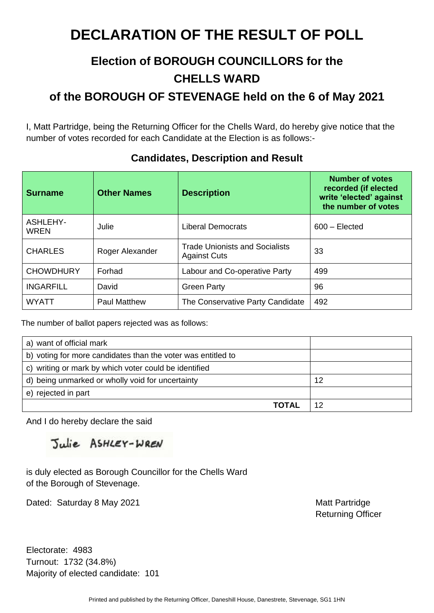### **Election of BOROUGH COUNCILLORS for the CHELLS WARD**

**of the BOROUGH OF STEVENAGE held on the 6 of May 2021** 

I, Matt Partridge, being the Returning Officer for the Chells Ward, do hereby give notice that the number of votes recorded for each Candidate at the Election is as follows:-

| <b>Surname</b>          | <b>Other Names</b>  | <b>Description</b>                                           | <b>Number of votes</b><br>recorded (if elected<br>write 'elected' against<br>the number of votes |
|-------------------------|---------------------|--------------------------------------------------------------|--------------------------------------------------------------------------------------------------|
| ASHLEHY-<br><b>WREN</b> | Julie               | <b>Liberal Democrats</b>                                     | $600 - Elected$                                                                                  |
| <b>CHARLES</b>          | Roger Alexander     | <b>Trade Unionists and Socialists</b><br><b>Against Cuts</b> | 33                                                                                               |
| <b>CHOWDHURY</b>        | Forhad              | Labour and Co-operative Party                                | 499                                                                                              |
| <b>INGARFILL</b>        | David               | <b>Green Party</b>                                           | 96                                                                                               |
| WYATT                   | <b>Paul Matthew</b> | The Conservative Party Candidate                             | 492                                                                                              |

#### **Candidates, Description and Result**

The number of ballot papers rejected was as follows:

| a) want of official mark                                     |    |
|--------------------------------------------------------------|----|
| b) voting for more candidates than the voter was entitled to |    |
| c) writing or mark by which voter could be identified        |    |
| d) being unmarked or wholly void for uncertainty             | 12 |
| e) rejected in part                                          |    |
| ΤΩΤΔΙ                                                        |    |

And I do hereby declare the said

Julie ASHLEY-WREN

is duly elected as Borough Councillor for the Chells Ward of the Borough of Stevenage.

Dated: Saturday 8 May 2021 Matt Partridge

Returning Officer

Electorate: 4983 Turnout: 1732 (34.8%) Majority of elected candidate: 101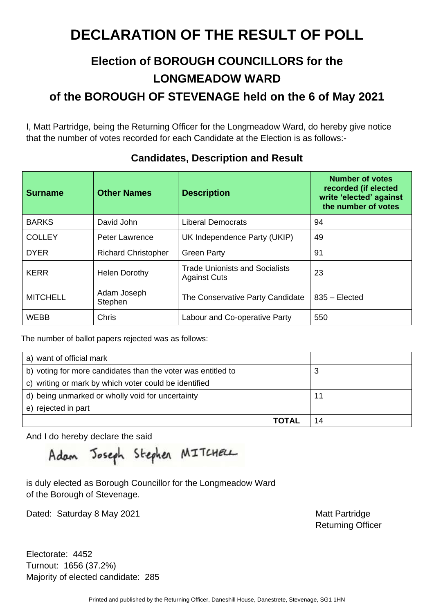## **Election of BOROUGH COUNCILLORS for the LONGMEADOW WARD**

**of the BOROUGH OF STEVENAGE held on the 6 of May 2021** 

I, Matt Partridge, being the Returning Officer for the Longmeadow Ward, do hereby give notice that the number of votes recorded for each Candidate at the Election is as follows:-

| <b>Surname</b>  | <b>Other Names</b>         | <b>Description</b>                                           | <b>Number of votes</b><br>recorded (if elected<br>write 'elected' against<br>the number of votes |
|-----------------|----------------------------|--------------------------------------------------------------|--------------------------------------------------------------------------------------------------|
| <b>BARKS</b>    | David John                 | <b>Liberal Democrats</b>                                     | 94                                                                                               |
| <b>COLLEY</b>   | <b>Peter Lawrence</b>      | UK Independence Party (UKIP)                                 | 49                                                                                               |
| <b>DYER</b>     | <b>Richard Christopher</b> | <b>Green Party</b>                                           | 91                                                                                               |
| <b>KERR</b>     | <b>Helen Dorothy</b>       | <b>Trade Unionists and Socialists</b><br><b>Against Cuts</b> | 23                                                                                               |
| <b>MITCHELL</b> | Adam Joseph<br>Stephen     | The Conservative Party Candidate                             | $835 - Elected$                                                                                  |
| <b>WEBB</b>     | Chris                      | Labour and Co-operative Party                                | 550                                                                                              |

#### **Candidates, Description and Result**

The number of ballot papers rejected was as follows:

| a) want of official mark                                     |    |
|--------------------------------------------------------------|----|
| b) voting for more candidates than the voter was entitled to | З  |
| c) writing or mark by which voter could be identified        |    |
| d) being unmarked or wholly void for uncertainty             | 11 |
| e) rejected in part                                          |    |
| TOTAL                                                        |    |

And I do hereby declare the said

Adam Joseph Stephen MITCHELL

is duly elected as Borough Councillor for the Longmeadow Ward of the Borough of Stevenage.

Dated: Saturday 8 May 2021 Matt Partridge

Returning Officer

Electorate: 4452 Turnout: 1656 (37.2%) Majority of elected candidate: 285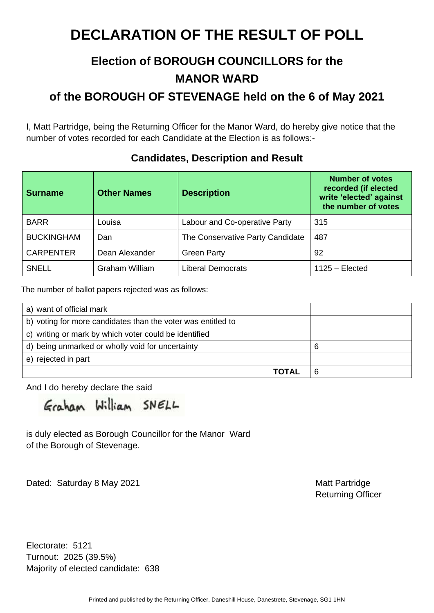### **Election of BOROUGH COUNCILLORS for the MANOR WARD**

**of the BOROUGH OF STEVENAGE held on the 6 of May 2021** 

I, Matt Partridge, being the Returning Officer for the Manor Ward, do hereby give notice that the number of votes recorded for each Candidate at the Election is as follows:-

| <b>Surname</b>    | <b>Other Names</b> | <b>Description</b>               | <b>Number of votes</b><br>recorded (if elected<br>write 'elected' against<br>the number of votes |
|-------------------|--------------------|----------------------------------|--------------------------------------------------------------------------------------------------|
| <b>BARR</b>       | Louisa             | Labour and Co-operative Party    | 315                                                                                              |
| <b>BUCKINGHAM</b> | Dan                | The Conservative Party Candidate | 487                                                                                              |
| <b>CARPENTER</b>  | Dean Alexander     | <b>Green Party</b>               | 92                                                                                               |
| <b>SNELL</b>      | Graham William     | <b>Liberal Democrats</b>         | $1125 - Elected$                                                                                 |

#### **Candidates, Description and Result**

The number of ballot papers rejected was as follows:

| a) want of official mark                                     |   |
|--------------------------------------------------------------|---|
| b) voting for more candidates than the voter was entitled to |   |
| c) writing or mark by which voter could be identified        |   |
| d) being unmarked or wholly void for uncertainty             | 6 |
| e) rejected in part                                          |   |
| TOTAL                                                        | 6 |

And I do hereby declare the said

Graham William SNELL

is duly elected as Borough Councillor for the Manor Ward of the Borough of Stevenage.

Dated: Saturday 8 May 2021 Matt Partridge

Returning Officer

Electorate: 5121 Turnout: 2025 (39.5%) Majority of elected candidate: 638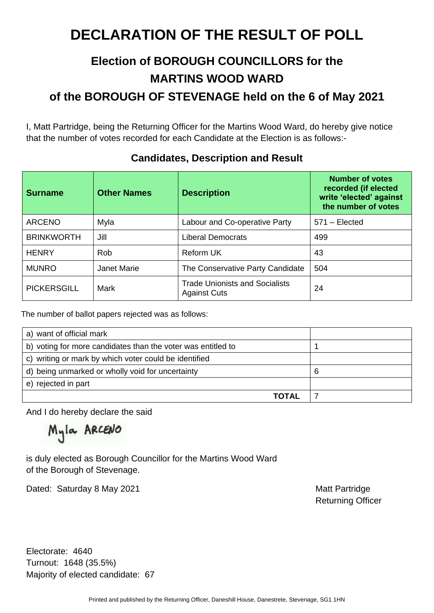### **Election of BOROUGH COUNCILLORS for the MARTINS WOOD WARD of the BOROUGH OF STEVENAGE held on the 6 of May 2021**

I, Matt Partridge, being the Returning Officer for the Martins Wood Ward, do hereby give notice that the number of votes recorded for each Candidate at the Election is as follows:-

| <b>Surname</b>     | <b>Other Names</b> | <b>Description</b>                                           | <b>Number of votes</b><br>recorded (if elected<br>write 'elected' against<br>the number of votes |
|--------------------|--------------------|--------------------------------------------------------------|--------------------------------------------------------------------------------------------------|
| ARCENO             | Myla               | Labour and Co-operative Party                                | $571 - Elected$                                                                                  |
| <b>BRINKWORTH</b>  | Jill               | <b>Liberal Democrats</b>                                     | 499                                                                                              |
| <b>HENRY</b>       | Rob                | <b>Reform UK</b>                                             | 43                                                                                               |
| <b>MUNRO</b>       | <b>Janet Marie</b> | The Conservative Party Candidate                             | 504                                                                                              |
| <b>PICKERSGILL</b> | <b>Mark</b>        | <b>Trade Unionists and Socialists</b><br><b>Against Cuts</b> | 24                                                                                               |

#### **Candidates, Description and Result**

The number of ballot papers rejected was as follows:

| a) want of official mark                                     |   |
|--------------------------------------------------------------|---|
| b) voting for more candidates than the voter was entitled to |   |
| c) writing or mark by which voter could be identified        |   |
| d) being unmarked or wholly void for uncertainty             | ь |
| e) rejected in part                                          |   |
| ΤΩΤΔΙ                                                        |   |

And I do hereby declare the said

Myla ARCENO

is duly elected as Borough Councillor for the Martins Wood Ward of the Borough of Stevenage.

Dated: Saturday 8 May 2021 Matt Partridge

Returning Officer

Electorate: 4640 Turnout: 1648 (35.5%) Majority of elected candidate: 67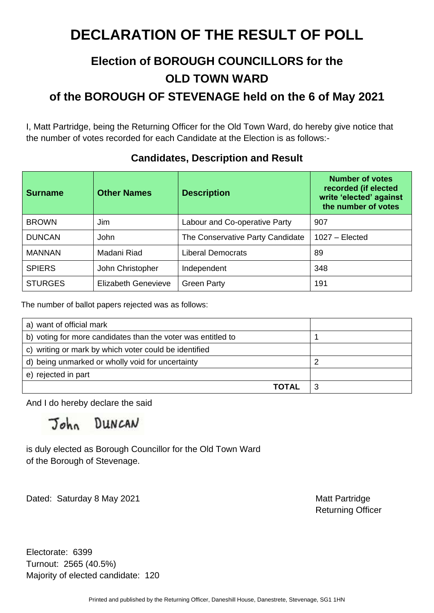### **Election of BOROUGH COUNCILLORS for the OLD TOWN WARD of the BOROUGH OF STEVENAGE held on the 6 of May 2021**

I, Matt Partridge, being the Returning Officer for the Old Town Ward, do hereby give notice that the number of votes recorded for each Candidate at the Election is as follows:-

| <b>Surname</b> | <b>Other Names</b>         | <b>Description</b>               | <b>Number of votes</b><br>recorded (if elected<br>write 'elected' against<br>the number of votes |
|----------------|----------------------------|----------------------------------|--------------------------------------------------------------------------------------------------|
| <b>BROWN</b>   | <b>Jim</b>                 | Labour and Co-operative Party    | 907                                                                                              |
| <b>DUNCAN</b>  | <b>John</b>                | The Conservative Party Candidate | $1027 - Elected$                                                                                 |
| <b>MANNAN</b>  | Madani Riad                | <b>Liberal Democrats</b>         | 89                                                                                               |
| <b>SPIERS</b>  | John Christopher           | Independent                      | 348                                                                                              |
| <b>STURGES</b> | <b>Elizabeth Genevieve</b> | <b>Green Party</b>               | 191                                                                                              |

#### **Candidates, Description and Result**

The number of ballot papers rejected was as follows:

| a) want of official mark                                     |  |
|--------------------------------------------------------------|--|
| b) voting for more candidates than the voter was entitled to |  |
| c) writing or mark by which voter could be identified        |  |
| d) being unmarked or wholly void for uncertainty             |  |
| e) rejected in part                                          |  |
| ΤΩΤΑΙ                                                        |  |

And I do hereby declare the said

John DUNCAN

is duly elected as Borough Councillor for the Old Town Ward of the Borough of Stevenage.

Dated: Saturday 8 May 2021 Matt Partridge

Returning Officer

Electorate: 6399 Turnout: 2565 (40.5%) Majority of elected candidate: 120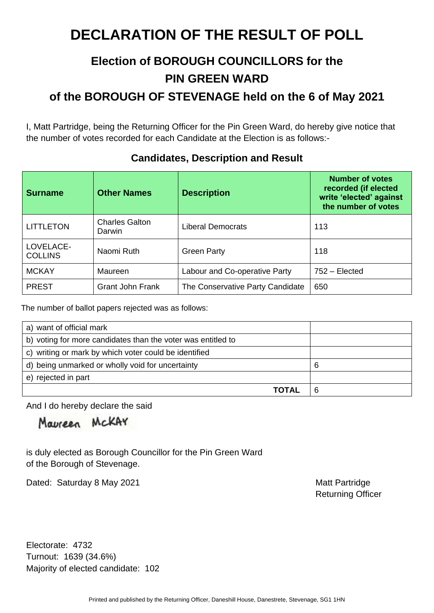### **Election of BOROUGH COUNCILLORS for the PIN GREEN WARD**

**of the BOROUGH OF STEVENAGE held on the 6 of May 2021** 

I, Matt Partridge, being the Returning Officer for the Pin Green Ward, do hereby give notice that the number of votes recorded for each Candidate at the Election is as follows:-

| <b>Surname</b>              | <b>Other Names</b>              | <b>Description</b>               | <b>Number of votes</b><br>recorded (if elected<br>write 'elected' against<br>the number of votes |
|-----------------------------|---------------------------------|----------------------------------|--------------------------------------------------------------------------------------------------|
| <b>LITTLETON</b>            | <b>Charles Galton</b><br>Darwin | <b>Liberal Democrats</b>         | 113                                                                                              |
| LOVELACE-<br><b>COLLINS</b> | Naomi Ruth                      | <b>Green Party</b>               | 118                                                                                              |
| <b>MCKAY</b>                | Maureen                         | Labour and Co-operative Party    | 752 – Elected                                                                                    |
| <b>PREST</b>                | <b>Grant John Frank</b>         | The Conservative Party Candidate | 650                                                                                              |

#### **Candidates, Description and Result**

The number of ballot papers rejected was as follows:

| a) want of official mark                                     |   |
|--------------------------------------------------------------|---|
| b) voting for more candidates than the voter was entitled to |   |
| c) writing or mark by which voter could be identified        |   |
| d) being unmarked or wholly void for uncertainty             | 6 |
| e) rejected in part                                          |   |
| <b>TOTAL</b>                                                 |   |

And I do hereby declare the said

Maureen McKAY

is duly elected as Borough Councillor for the Pin Green Ward of the Borough of Stevenage.

Dated: Saturday 8 May 2021 Matt Partridge

Returning Officer

Electorate: 4732 Turnout: 1639 (34.6%) Majority of elected candidate: 102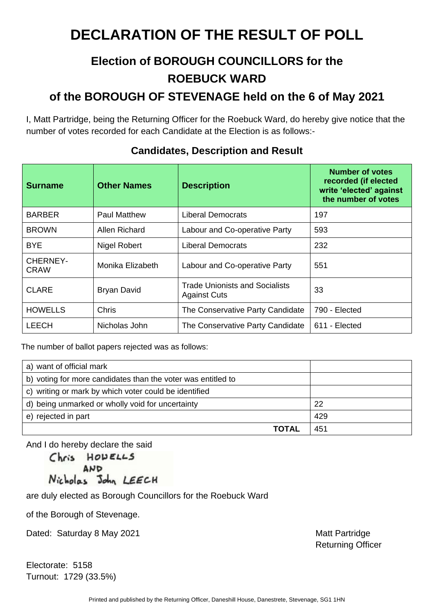### **Election of BOROUGH COUNCILLORS for the ROEBUCK WARD**

### **of the BOROUGH OF STEVENAGE held on the 6 of May 2021**

I, Matt Partridge, being the Returning Officer for the Roebuck Ward, do hereby give notice that the number of votes recorded for each Candidate at the Election is as follows:-

| <b>Surname</b>                 | <b>Other Names</b>  | <b>Description</b>                                    | <b>Number of votes</b><br>recorded (if elected<br>write 'elected' against<br>the number of votes |
|--------------------------------|---------------------|-------------------------------------------------------|--------------------------------------------------------------------------------------------------|
| <b>BARBER</b>                  | <b>Paul Matthew</b> | <b>Liberal Democrats</b>                              | 197                                                                                              |
| <b>BROWN</b>                   | Allen Richard       | Labour and Co-operative Party                         | 593                                                                                              |
| <b>BYE</b>                     | Nigel Robert        | Liberal Democrats                                     | 232                                                                                              |
| <b>CHERNEY-</b><br><b>CRAW</b> | Monika Elizabeth    | Labour and Co-operative Party                         | 551                                                                                              |
| <b>CLARE</b>                   | <b>Bryan David</b>  | Trade Unionists and Socialists<br><b>Against Cuts</b> | 33                                                                                               |
| <b>HOWELLS</b>                 | Chris               | The Conservative Party Candidate                      | 790 - Elected                                                                                    |
| <b>LEECH</b>                   | Nicholas John       | The Conservative Party Candidate                      | 611 - Elected                                                                                    |

#### **Candidates, Description and Result**

The number of ballot papers rejected was as follows:

| a) want of official mark                                     |     |
|--------------------------------------------------------------|-----|
| b) voting for more candidates than the voter was entitled to |     |
| c) writing or mark by which voter could be identified        |     |
| d) being unmarked or wholly void for uncertainty             | 22  |
| e) rejected in part                                          | 429 |
| ΤΩΤΑΙ                                                        | 451 |

And I do hereby declare the said

Chris HODELLS AND Nicholas John LEECH

are duly elected as Borough Councillors for the Roebuck Ward

of the Borough of Stevenage.

Dated: Saturday 8 May 2021 Matt Partridge

Electorate: 5158 Turnout: 1729 (33.5%) Returning Officer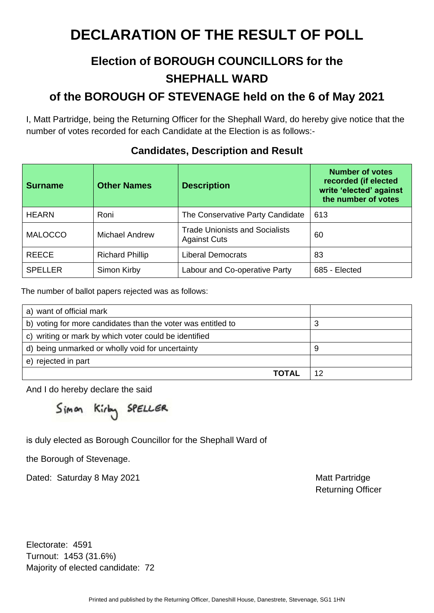### **Election of BOROUGH COUNCILLORS for the SHEPHALL WARD**

### **of the BOROUGH OF STEVENAGE held on the 6 of May 2021**

I, Matt Partridge, being the Returning Officer for the Shephall Ward, do hereby give notice that the number of votes recorded for each Candidate at the Election is as follows:-

| <b>Surname</b> | <b>Other Names</b>     | <b>Description</b>                                           | <b>Number of votes</b><br>recorded (if elected<br>write 'elected' against<br>the number of votes |
|----------------|------------------------|--------------------------------------------------------------|--------------------------------------------------------------------------------------------------|
| <b>HEARN</b>   | Roni                   | The Conservative Party Candidate                             | 613                                                                                              |
| <b>MALOCCO</b> | Michael Andrew         | <b>Trade Unionists and Socialists</b><br><b>Against Cuts</b> | 60                                                                                               |
| <b>REECE</b>   | <b>Richard Phillip</b> | <b>Liberal Democrats</b>                                     | 83                                                                                               |
| <b>SPELLER</b> | Simon Kirby            | Labour and Co-operative Party                                | 685 - Elected                                                                                    |

#### **Candidates, Description and Result**

The number of ballot papers rejected was as follows:

| a) want of official mark                                     |   |
|--------------------------------------------------------------|---|
| b) voting for more candidates than the voter was entitled to | 3 |
| c) writing or mark by which voter could be identified        |   |
| d) being unmarked or wholly void for uncertainty             | 9 |
| e) rejected in part                                          |   |
| ΤΩΤΔΙ                                                        |   |

And I do hereby declare the said

Simon Kirby SPELLER

is duly elected as Borough Councillor for the Shephall Ward of

the Borough of Stevenage.

Dated: Saturday 8 May 2021 Matt Partridge

Returning Officer

Electorate: 4591 Turnout: 1453 (31.6%) Majority of elected candidate: 72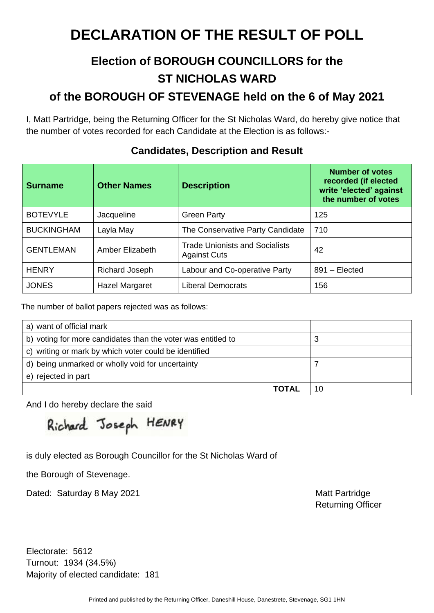### **Election of BOROUGH COUNCILLORS for the ST NICHOLAS WARD of the BOROUGH OF STEVENAGE held on the 6 of May 2021**

I, Matt Partridge, being the Returning Officer for the St Nicholas Ward, do hereby give notice that the number of votes recorded for each Candidate at the Election is as follows:-

| <b>Surname</b>    | <b>Other Names</b> | <b>Description</b>                                           | <b>Number of votes</b><br>recorded (if elected<br>write 'elected' against<br>the number of votes |
|-------------------|--------------------|--------------------------------------------------------------|--------------------------------------------------------------------------------------------------|
| <b>BOTEVYLE</b>   | Jacqueline         | <b>Green Party</b>                                           | 125                                                                                              |
| <b>BUCKINGHAM</b> | Layla May          | The Conservative Party Candidate                             | 710                                                                                              |
| <b>GENTLEMAN</b>  | Amber Elizabeth    | <b>Trade Unionists and Socialists</b><br><b>Against Cuts</b> | 42                                                                                               |
| <b>HENRY</b>      | Richard Joseph     | Labour and Co-operative Party                                | 891 - Elected                                                                                    |
| <b>JONES</b>      | Hazel Margaret     | <b>Liberal Democrats</b>                                     | 156                                                                                              |

#### **Candidates, Description and Result**

The number of ballot papers rejected was as follows:

| a) want of official mark                                     |    |
|--------------------------------------------------------------|----|
| b) voting for more candidates than the voter was entitled to | З  |
| c) writing or mark by which voter could be identified        |    |
| d) being unmarked or wholly void for uncertainty             |    |
| e) rejected in part                                          |    |
| TOTAL                                                        | 10 |

And I do hereby declare the said

Richard Joseph HENRY

is duly elected as Borough Councillor for the St Nicholas Ward of

the Borough of Stevenage.

Dated: Saturday 8 May 2021 Matt Partridge

Returning Officer

Electorate: 5612 Turnout: 1934 (34.5%) Majority of elected candidate: 181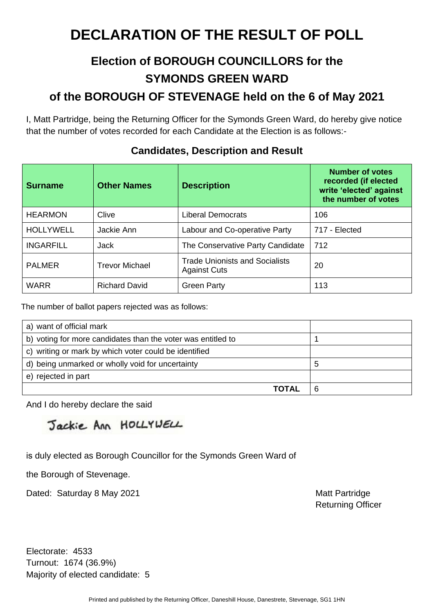## **Election of BOROUGH COUNCILLORS for the SYMONDS GREEN WARD**

### **of the BOROUGH OF STEVENAGE held on the 6 of May 2021**

I, Matt Partridge, being the Returning Officer for the Symonds Green Ward, do hereby give notice that the number of votes recorded for each Candidate at the Election is as follows:-

| <b>Surname</b>   | <b>Other Names</b>    | <b>Description</b>                                           | <b>Number of votes</b><br>recorded (if elected<br>write 'elected' against<br>the number of votes |
|------------------|-----------------------|--------------------------------------------------------------|--------------------------------------------------------------------------------------------------|
| <b>HEARMON</b>   | Clive                 | Liberal Democrats                                            | 106                                                                                              |
| <b>HOLLYWELL</b> | Jackie Ann            | Labour and Co-operative Party                                | 717 - Elected                                                                                    |
| <b>INGARFILL</b> | Jack                  | The Conservative Party Candidate                             | 712                                                                                              |
| <b>PALMER</b>    | <b>Trevor Michael</b> | <b>Trade Unionists and Socialists</b><br><b>Against Cuts</b> | 20                                                                                               |
| <b>WARR</b>      | <b>Richard David</b>  | <b>Green Party</b>                                           | 113                                                                                              |

#### **Candidates, Description and Result**

The number of ballot papers rejected was as follows:

| a) want of official mark                                     |   |
|--------------------------------------------------------------|---|
| b) voting for more candidates than the voter was entitled to |   |
| c) writing or mark by which voter could be identified        |   |
| d) being unmarked or wholly void for uncertainty             | b |
| e) rejected in part                                          |   |
| <b>TOTAL</b>                                                 |   |

And I do hereby declare the said

Jackie Ann HOLLYWELL

is duly elected as Borough Councillor for the Symonds Green Ward of

the Borough of Stevenage.

Dated: Saturday 8 May 2021 Matt Partridge

Returning Officer

Electorate: 4533 Turnout: 1674 (36.9%) Majority of elected candidate: 5